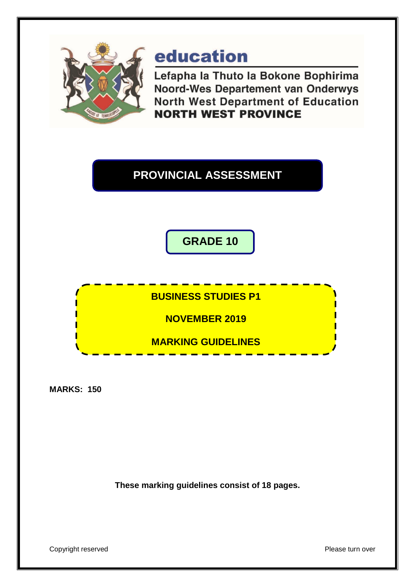

# education

Lefapha la Thuto la Bokone Bophirima **Noord-Wes Departement van Onderwys North West Department of Education NORTH WEST PROVINCE** 

# **PROVINCIAL ASSESSMENT**

**GRADE 10**

**BUSINESS STUDIES P1**

**NOVEMBER 2019**

**MARKING GUIDELINES**

**MARKS: 150**

**These marking guidelines consist of 18 pages.**

Copyright reserved **Please** turn over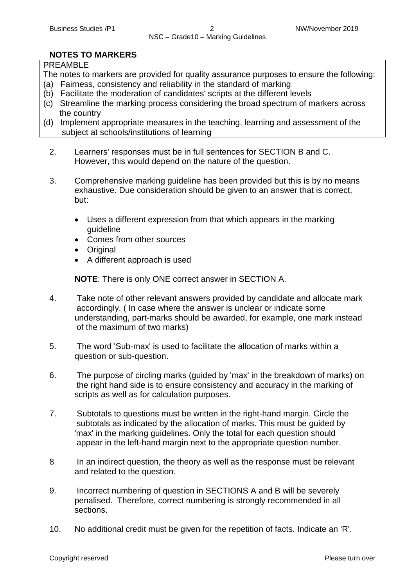# **NOTES TO MARKERS**

# PREAMBLE

The notes to markers are provided for quality assurance purposes to ensure the following:

- (a) Fairness, consistency and reliability in the standard of marking
- (b) Facilitate the moderation of candidates' scripts at the different levels
- (c) Streamline the marking process considering the broad spectrum of markers across the country
- (d) Implement appropriate measures in the teaching, learning and assessment of the subject at schools/institutions of learning
	- 2. Learners' responses must be in full sentences for SECTION B and C. However, this would depend on the nature of the question.
	- 3. Comprehensive marking guideline has been provided but this is by no means exhaustive. Due consideration should be given to an answer that is correct, but:
		- Uses a different expression from that which appears in the marking guideline
		- Comes from other sources
		- Original
		- A different approach is used

**NOTE**: There is only ONE correct answer in SECTION A.

- 4. Take note of other relevant answers provided by candidate and allocate mark accordingly. ( In case where the answer is unclear or indicate some understanding, part-marks should be awarded, for example, one mark instead of the maximum of two marks)
- 5. The word 'Sub-max' is used to facilitate the allocation of marks within a question or sub-question.
- 6. The purpose of circling marks (guided by 'max' in the breakdown of marks) on the right hand side is to ensure consistency and accuracy in the marking of scripts as well as for calculation purposes.
- 7. Subtotals to questions must be written in the right-hand margin. Circle the subtotals as indicated by the allocation of marks. This must be guided by 'max' in the marking guidelines. Only the total for each question should appear in the left-hand margin next to the appropriate question number.
- 8 In an indirect question, the theory as well as the response must be relevant and related to the question.
- 9. Incorrect numbering of question in SECTIONS A and B will be severely penalised. Therefore, correct numbering is strongly recommended in all sections.
- 10. No additional credit must be given for the repetition of facts. Indicate an 'R'.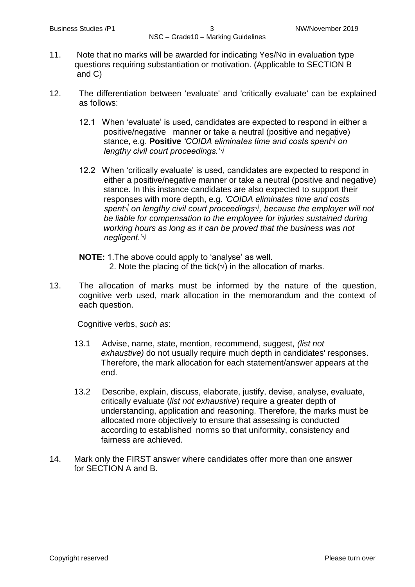- 11. Note that no marks will be awarded for indicating Yes/No in evaluation type questions requiring substantiation or motivation. (Applicable to SECTION B and C)
- 12. The differentiation between 'evaluate' and 'critically evaluate' can be explained as follows:
	- 12.1 When 'evaluate' is used, candidates are expected to respond in either a positive/negative manner or take a neutral (positive and negative) stance, e.g. **Positive** *'COIDA eliminates time and costs spent√ on lengthy civil court proceedings.'√*
	- 12.2 When 'critically evaluate' is used, candidates are expected to respond in either a positive/negative manner or take a neutral (positive and negative) stance. In this instance candidates are also expected to support their responses with more depth, e.g. *'COIDA eliminates time and costs spent√ on lengthy civil court proceedings√, because the employer will not be liable for compensation to the employee for injuries sustained during working hours as long as it can be proved that the business was not negligent.'√*
	- **NOTE:** 1.The above could apply to 'analyse' as well. 2. Note the placing of the tick( $\sqrt{ }$ ) in the allocation of marks.
- 13. The allocation of marks must be informed by the nature of the question, cognitive verb used, mark allocation in the memorandum and the context of each question.

Cognitive verbs, *such as*:

- 13.1 Advise, name, state, mention, recommend, suggest, *(list not exhaustive)* do not usually require much depth in candidates' responses. Therefore, the mark allocation for each statement/answer appears at the end.
- 13.2 Describe, explain, discuss, elaborate, justify, devise, analyse, evaluate, critically evaluate (*list not exhaustive*) require a greater depth of understanding, application and reasoning. Therefore, the marks must be allocated more objectively to ensure that assessing is conducted according to established norms so that uniformity, consistency and fairness are achieved.
- 14. Mark only the FIRST answer where candidates offer more than one answer for SECTION A and B.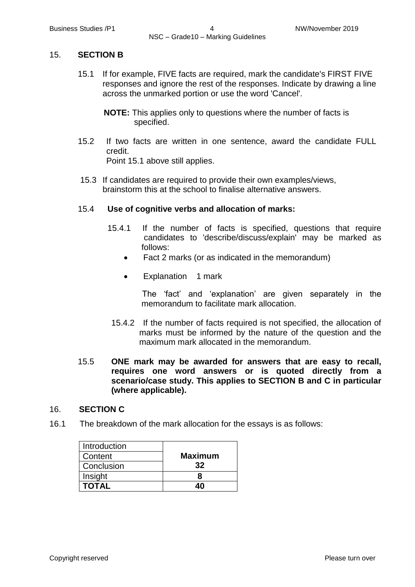#### 15. **SECTION B**

- 15.1 If for example, FIVE facts are required, mark the candidate's FIRST FIVE responses and ignore the rest of the responses. Indicate by drawing a line across the unmarked portion or use the word 'Cancel'.
	- **NOTE:** This applies only to questions where the number of facts is specified.
- 15.2 If two facts are written in one sentence, award the candidate FULL credit.

Point 15.1 above still applies.

15.3 If candidates are required to provide their own examples/views, brainstorm this at the school to finalise alternative answers.

#### 15.4 **Use of cognitive verbs and allocation of marks:**

- 15.4.1 If the number of facts is specified, questions that require candidates to 'describe/discuss/explain' may be marked as follows:
	- Fact 2 marks (or as indicated in the memorandum)
	- Explanation 1 mark

The 'fact' and 'explanation' are given separately in the memorandum to facilitate mark allocation.

 15.4.2 If the number of facts required is not specified, the allocation of marks must be informed by the nature of the question and the maximum mark allocated in the memorandum.

# 15.5 **ONE mark may be awarded for answers that are easy to recall, requires one word answers or is quoted directly from a scenario/case study. This applies to SECTION B and C in particular (where applicable).**

#### 16. **SECTION C**

16.1 The breakdown of the mark allocation for the essays is as follows:

| Introduction |                |
|--------------|----------------|
| Content      | <b>Maximum</b> |
| Conclusion   | 32             |
| Insight      |                |
| <b>TOTAL</b> |                |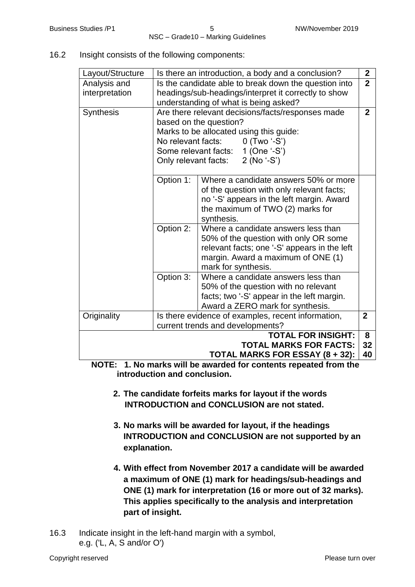16.2 Insight consists of the following components:

| Layout/Structure |                                                                         | Is there an introduction, a body and a conclusion? | $\mathbf{2}$ |
|------------------|-------------------------------------------------------------------------|----------------------------------------------------|--------------|
| Analysis and     | $\overline{2}$<br>Is the candidate able to break down the question into |                                                    |              |
| interpretation   | headings/sub-headings/interpret it correctly to show                    |                                                    |              |
|                  | understanding of what is being asked?                                   |                                                    |              |
| <b>Synthesis</b> |                                                                         | Are there relevant decisions/facts/responses made  | $\mathbf{2}$ |
|                  |                                                                         | based on the question?                             |              |
|                  |                                                                         | Marks to be allocated using this guide:            |              |
|                  | No relevant facts:                                                      | $0$ (Two '-S')                                     |              |
|                  |                                                                         | Some relevant facts: 1 (One '-S')                  |              |
|                  |                                                                         | Only relevant facts: 2 (No '-S')                   |              |
|                  |                                                                         |                                                    |              |
|                  | Option 1:                                                               | Where a candidate answers 50% or more              |              |
|                  |                                                                         | of the question with only relevant facts;          |              |
|                  |                                                                         | no '-S' appears in the left margin. Award          |              |
|                  |                                                                         | the maximum of TWO (2) marks for                   |              |
|                  |                                                                         | synthesis.                                         |              |
|                  | Option 2:                                                               | Where a candidate answers less than                |              |
|                  | 50% of the question with only OR some                                   |                                                    |              |
|                  | relevant facts; one '-S' appears in the left                            |                                                    |              |
|                  | margin. Award a maximum of ONE (1)                                      |                                                    |              |
|                  | mark for synthesis.                                                     |                                                    |              |
|                  | Option 3:                                                               | Where a candidate answers less than                |              |
|                  |                                                                         | 50% of the question with no relevant               |              |
|                  |                                                                         | facts; two '-S' appear in the left margin.         |              |
|                  |                                                                         | Award a ZERO mark for synthesis.                   |              |
| Originality      |                                                                         | Is there evidence of examples, recent information, | $\mathbf{2}$ |
|                  |                                                                         | current trends and developments?                   |              |
|                  |                                                                         | <b>TOTAL FOR INSIGHT:</b>                          | 8            |
|                  |                                                                         | <b>TOTAL MARKS FOR FACTS:</b>                      | 32           |
|                  |                                                                         | <b>TOTAL MARKS FOR ESSAY (8 + 32):</b>             | 40           |

 **NOTE: 1. No marks will be awarded for contents repeated from the introduction and conclusion.**

- **2. The candidate forfeits marks for layout if the words INTRODUCTION and CONCLUSION are not stated.**
- **3. No marks will be awarded for layout, if the headings INTRODUCTION and CONCLUSION are not supported by an explanation.**
- **4. With effect from November 2017 a candidate will be awarded a maximum of ONE (1) mark for headings/sub-headings and ONE (1) mark for interpretation (16 or more out of 32 marks). This applies specifically to the analysis and interpretation part of insight.**
- 16.3 Indicate insight in the left-hand margin with a symbol, e.g. ('L, A, S and/or O')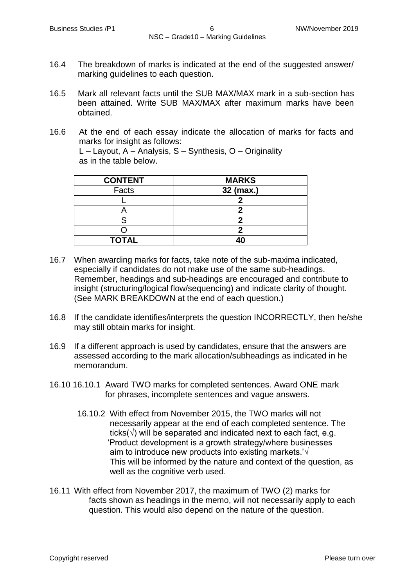- 16.4 The breakdown of marks is indicated at the end of the suggested answer/ marking guidelines to each question.
- 16.5 Mark all relevant facts until the SUB MAX/MAX mark in a sub-section has been attained. Write SUB MAX/MAX after maximum marks have been obtained.
- 16.6 At the end of each essay indicate the allocation of marks for facts and marks for insight as follows: L – Layout, A – Analysis, S – Synthesis, O – Originality as in the table below.

| <b>CONTENT</b> | <b>MARKS</b> |
|----------------|--------------|
| Facts          | 32 (max.)    |
|                |              |
|                |              |
|                |              |
|                |              |
| <b>TOTAL</b>   |              |

- 16.7 When awarding marks for facts, take note of the sub-maxima indicated, especially if candidates do not make use of the same sub-headings. Remember, headings and sub-headings are encouraged and contribute to insight (structuring/logical flow/sequencing) and indicate clarity of thought. (See MARK BREAKDOWN at the end of each question.)
- 16.8 If the candidate identifies/interprets the question INCORRECTLY, then he/she may still obtain marks for insight.
- 16.9 If a different approach is used by candidates, ensure that the answers are assessed according to the mark allocation/subheadings as indicated in he memorandum.
- 16.10 16.10.1 Award TWO marks for completed sentences. Award ONE mark for phrases, incomplete sentences and vague answers.
	- 16.10.2 With effect from November 2015, the TWO marks will not necessarily appear at the end of each completed sentence. The ticks( $\sqrt{ }$ ) will be separated and indicated next to each fact, e.g. 'Product development is a growth strategy/where businesses aim to introduce new products into existing markets.'√ This will be informed by the nature and context of the question, as well as the cognitive verb used.
- 16.11 With effect from November 2017, the maximum of TWO (2) marks for facts shown as headings in the memo, will not necessarily apply to each question. This would also depend on the nature of the question.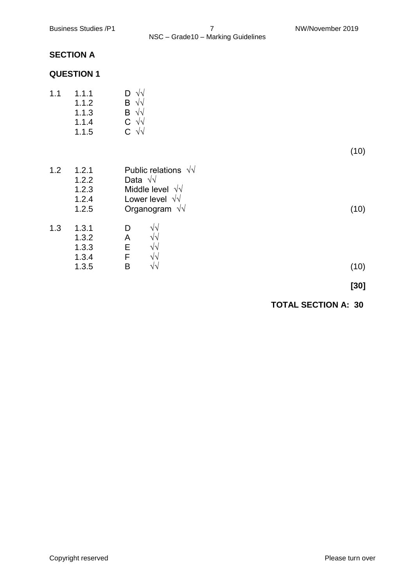# **SECTION A**

# **QUESTION 1**

| 1.1 | 1.1.1 | $D \sqrt{v}$                 |
|-----|-------|------------------------------|
|     | 1.1.2 | $\mathsf{B} \sqrt{\sqrt{2}}$ |
|     | 1.1.3 | $\mathsf{B} \sqrt{\sqrt{2}}$ |
|     | 1.1.4 | $C \sqrt{v}$                 |
|     | 1.1.5 | $C \sqrt{v}$                 |

| Public relations $\sqrt{v}$<br>Data $\sqrt{v}$<br>Middle level $\sqrt{v}$<br>Lower level $\sqrt{v}$<br>Organogram $\sqrt{v}$ | (10)                                                                                   |
|------------------------------------------------------------------------------------------------------------------------------|----------------------------------------------------------------------------------------|
| D<br>$\sqrt{v}$<br>Α<br>N٦<br>E<br>V٦<br>F<br>٧V<br>Β<br>$\sqrt{2}$                                                          | (10)                                                                                   |
|                                                                                                                              | 1.2.1<br>1.2.2<br>1.2.3<br>1.2.4<br>1.2.5<br>1.3.1<br>1.3.2<br>1.3.3<br>1.3.4<br>1.3.5 |

**[30]**

(10)

# **TOTAL SECTION A: 30**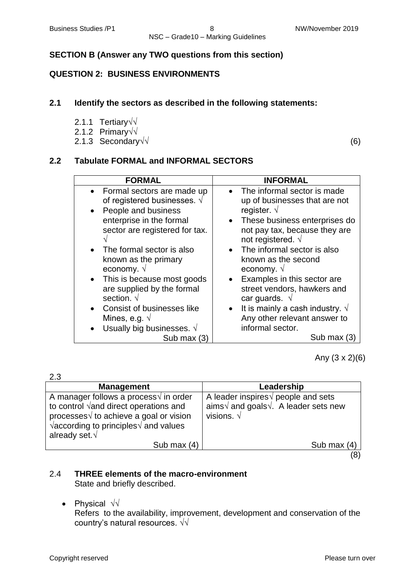# **SECTION B (Answer any TWO questions from this section)**

# **QUESTION 2: BUSINESS ENVIRONMENTS**

# **2.1 Identify the sectors as described in the following statements:**

- 2.1.1 Tertiary√√
- 2.1.2 Primary√√
- 2.1.3 Secondary√ (6)

# **2.2 Tabulate FORMAL and INFORMAL SECTORS**

| <b>FORMAL</b>                                                                                                                                             | <b>INFORMAL</b>                                                                                                                                                                        |
|-----------------------------------------------------------------------------------------------------------------------------------------------------------|----------------------------------------------------------------------------------------------------------------------------------------------------------------------------------------|
| • Formal sectors are made up<br>of registered businesses. $\sqrt{ }$<br>People and business<br>enterprise in the formal<br>sector are registered for tax. | The informal sector is made<br>up of businesses that are not<br>register. $\sqrt{ }$<br>• These business enterprises do<br>not pay tax, because they are<br>not registered. $\sqrt{ }$ |
| • The formal sector is also                                                                                                                               | • The informal sector is also                                                                                                                                                          |
| known as the primary                                                                                                                                      | known as the second                                                                                                                                                                    |
| economy. √                                                                                                                                                | economy. $\sqrt{ }$                                                                                                                                                                    |
| This is because most goods                                                                                                                                | • Examples in this sector are                                                                                                                                                          |
| are supplied by the formal                                                                                                                                | street vendors, hawkers and                                                                                                                                                            |
| section. √                                                                                                                                                | car guards. $\sqrt{ }$                                                                                                                                                                 |
| <b>Consist of businesses like</b>                                                                                                                         | • It is mainly a cash industry. $\sqrt{ }$                                                                                                                                             |
| Mines, e.g. $\sqrt{ }$                                                                                                                                    | Any other relevant answer to                                                                                                                                                           |
| Usually big businesses. $\sqrt{ }$                                                                                                                        | informal sector.                                                                                                                                                                       |
| Sub max $(3)$                                                                                                                                             | Sub max (3)                                                                                                                                                                            |

Any (3 x 2)(6)

| 2.3                                                                                                                                                                                                                                         |                                                                                                                                 |  |
|---------------------------------------------------------------------------------------------------------------------------------------------------------------------------------------------------------------------------------------------|---------------------------------------------------------------------------------------------------------------------------------|--|
| <b>Management</b>                                                                                                                                                                                                                           | Leadership                                                                                                                      |  |
| A manager follows a process $\sqrt{ }$ in order<br>to control $\sqrt{2}$ and direct operations and<br>processes√ to achieve a goal or vision<br>$\sqrt{\text{according to principles}} \sqrt{\text{and values}}$<br>already set. $\sqrt{ }$ | A leader inspires $\sqrt{ }$ people and sets<br>aims $\sqrt{ }$ and goals $\sqrt{ }$ . A leader sets new<br>visions. $\sqrt{ }$ |  |
| Sub max $(4)$                                                                                                                                                                                                                               | Sub max $(4)$                                                                                                                   |  |
|                                                                                                                                                                                                                                             |                                                                                                                                 |  |

#### 2.4 **THREE elements of the macro-environment** State and briefly described.

Physical √√

Refers to the availability, improvement, development and conservation of the country's natural resources. √√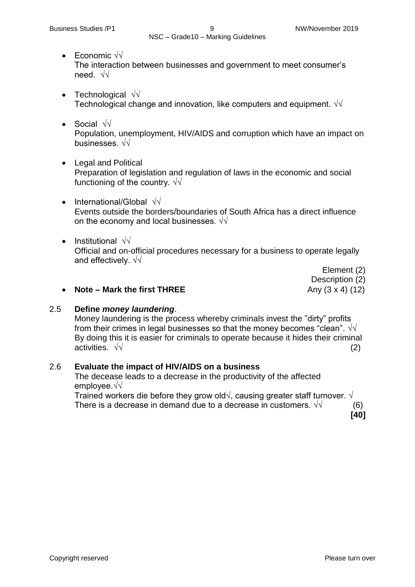- Economic √√ The interaction between businesses and government to meet consumer's need. √√
- Technological  $\sqrt{v}$ Technological change and innovation, like computers and equipment.  $\sqrt{\sqrt{}}$
- Social √√ Population, unemployment, HIV/AIDS and corruption which have an impact on businesses. √√
- Legal and Political Preparation of legislation and regulation of laws in the economic and social functioning of the country.  $\sqrt{\sqrt{2}}$
- International/Global √√ Events outside the borders/boundaries of South Africa has a direct influence on the economy and local businesses.  $\sqrt{\sqrt{}}$
- Institutional  $\sqrt{v}$ Official and on-official procedures necessary for a business to operate legally and effectively. √√

Element (2) Description (2)

# • **Note – Mark the first THREE**  $\qquad \qquad \text{Any } (3 \times 4)$  (12)

# 2.5 **Define** *money laundering*.

Money laundering is the process whereby criminals invest the "dirty" profits from their crimes in legal businesses so that the money becomes "clean".  $\sqrt{\sqrt{}}$ By doing this it is easier for criminals to operate because it hides their criminal activities.  $\sqrt{v}$  (2)

# 2.6 **Evaluate the impact of HIV/AIDS on a business**

The decease leads to a decrease in the productivity of the affected employee.√√

Trained workers die before they grow old $\sqrt{ }$ , causing greater staff turnover.  $\sqrt{ }$ There is a decrease in demand due to a decrease in customers.  $\sqrt{v}$  (6)

**[40]**

Copyright reserved **Please turn over the Copyright reserved** Please turn over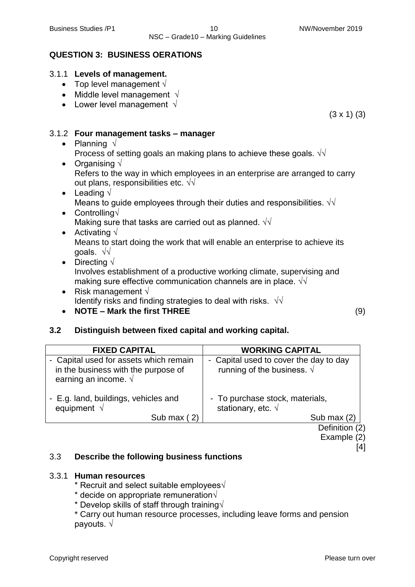(3 x 1) (3)

# **QUESTION 3: BUSINESS OERATIONS**

# 3.1.1 **Levels of management.**

- Top level management  $\sqrt{ }$
- Middle level management  $\sqrt{ }$
- Lower level management  $\sqrt{}$

# 3.1.2 **Four management tasks – manager**

- Planning √ Process of setting goals an making plans to achieve these goals.  $\sqrt{\sqrt{}}$
- Organising  $\sqrt{ }$ Refers to the way in which employees in an enterprise are arranged to carry out plans, responsibilities etc.  $\sqrt{v}$
- Leading  $\sqrt{ }$ Means to guide employees through their duties and responsibilities.  $\sqrt{\sqrt{2}}$
- Controlling√ Making sure that tasks are carried out as planned.  $\sqrt{\sqrt{}}$
- Activating  $\sqrt{ }$ Means to start doing the work that will enable an enterprise to achieve its goals. √√
- Directing √

Involves establishment of a productive working climate, supervising and making sure effective communication channels are in place.  $\sqrt{\sqrt{}}$ 

• Risk management  $\sqrt{ }$ Identify risks and finding strategies to deal with risks.  $\sqrt{\sqrt{}}$ **NOTE – Mark the first THREE** (9)

# **3.2 Distinguish between fixed capital and working capital.**

| <b>FIXED CAPITAL</b>                                                                                           | <b>WORKING CAPITAL</b>                                                        |
|----------------------------------------------------------------------------------------------------------------|-------------------------------------------------------------------------------|
| - Capital used for assets which remain<br>in the business with the purpose of<br>earning an income. $\sqrt{ }$ | - Capital used to cover the day to day<br>running of the business. $\sqrt{ }$ |
| - E.g. land, buildings, vehicles and<br>equipment $\sqrt{ }$                                                   | - To purchase stock, materials,<br>stationary, etc. $\sqrt{ }$                |
| Sub max $(2)$                                                                                                  | Sub max $(2)$                                                                 |
|                                                                                                                | Definition (2)                                                                |

Definition (2) Example (2)

[4]

# 3.3 **Describe the following business functions**

# 3.3.1 **Human resources**

\* Recruit and select suitable employees√

\* decide on appropriate remuneration√

\* Develop skills of staff through training $\sqrt{ }$ 

\* Carry out human resource processes, including leave forms and pension payouts. √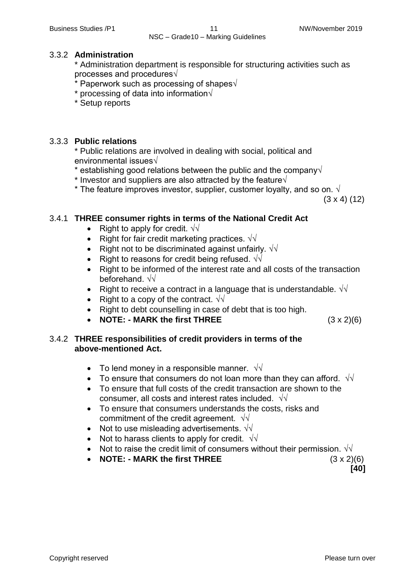#### 3.3.2 **Administration**

\* Administration department is responsible for structuring activities such as processes and procedures√

- $*$  Paperwork such as processing of shapes $\sqrt{ }$
- $*$  processing of data into information $\sqrt{ }$
- \* Setup reports

#### 3.3.3 **Public relations**

\* Public relations are involved in dealing with social, political and environmental issues√

- \* establishing good relations between the public and the company√
- \* Investor and suppliers are also attracted by the feature $\sqrt{ }$
- \* The feature improves investor, supplier, customer loyalty, and so on.  $\sqrt{ }$

(3 x 4) (12)

# 3.4.1 **THREE consumer rights in terms of the National Credit Act**

- Right to apply for credit.  $\sqrt{v}$
- Right for fair credit marketing practices.  $\sqrt{\sqrt{2}}$
- Right not to be discriminated against unfairly.  $\sqrt{v}$
- Right to reasons for credit being refused.  $\sqrt{d}$
- Right to be informed of the interest rate and all costs of the transaction beforehand. √√
- Right to receive a contract in a language that is understandable.  $\sqrt{d}$
- Right to a copy of the contract.  $\sqrt{v}$
- Right to debt counselling in case of debt that is too high.
- **NOTE: - MARK the first THREE** (3 x 2)(6)

#### 3.4.2 **THREE responsibilities of credit providers in terms of the above-mentioned Act.**

- To lend money in a responsible manner.  $\sqrt{\sqrt{}}$
- To ensure that consumers do not loan more than they can afford.  $\sqrt{d}$
- To ensure that full costs of the credit transaction are shown to the consumer, all costs and interest rates included.  $\sqrt{\sqrt{2}}$
- To ensure that consumers understands the costs, risks and commitment of the credit agreement.  $\sqrt{\sqrt{}}$
- Not to use misleading advertisements.  $\sqrt{v}$
- Not to harass clients to apply for credit.  $\sqrt{d}$
- Not to raise the credit limit of consumers without their permission.  $\sqrt{v}$
- **NOTE: - MARK the first THREE** (3 x 2)(6)

 **[40]**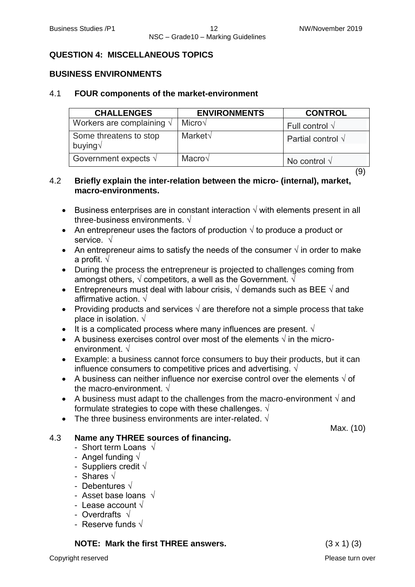# **QUESTION 4: MISCELLANEOUS TOPICS**

# **BUSINESS ENVIRONMENTS**

# 4.1 **FOUR components of the market-environment**

| <b>CHALLENGES</b>                        | <b>ENVIRONMENTS</b> | <b>CONTROL</b>            |
|------------------------------------------|---------------------|---------------------------|
| Workers are complaining $\sqrt{ }$       | Micro $\sqrt$       | Full control $\sqrt{}$    |
| Some threatens to stop<br>buying $\sqrt$ | Market√             | Partial control $\sqrt{}$ |
| Government expects $\sqrt{}$             | Macro√              | No control $\sqrt{}$      |

(9)

# 4.2 **Briefly explain the inter-relation between the micro- (internal), market, macro-environments.**

- Business enterprises are in constant interaction  $\sqrt{ }$  with elements present in all three-business environments. √
- An entrepreneur uses the factors of production  $\sqrt{ }$  to produce a product or service. √
- An entrepreneur aims to satisfy the needs of the consumer  $\sqrt{ }$  in order to make a profit. √
- During the process the entrepreneur is projected to challenges coming from amongst others,  $\sqrt{2}$  competitors, a well as the Government.  $\sqrt{2}$
- **Entrepreneurs must deal with labour crisis,**  $\sqrt{ }$  **demands such as BEE**  $\sqrt{ }$  **and** affirmative action.  $\sqrt{ }$
- Providing products and services  $\sqrt{ }$  are therefore not a simple process that take place in isolation.  $\sqrt{ }$
- It is a complicated process where many influences are present.  $\sqrt{ }$
- A business exercises control over most of the elements  $\sqrt{ }$  in the microenvironment. √
- Example: a business cannot force consumers to buy their products, but it can influence consumers to competitive prices and advertising.  $\sqrt{ }$
- A business can neither influence nor exercise control over the elements  $\sqrt{}$  of the macro-environment. √
- A business must adapt to the challenges from the macro-environment  $\sqrt{ }$  and formulate strategies to cope with these challenges.  $\sqrt{ }$
- The three business environments are inter-related  $\sqrt{ }$

# 4.3 **Name any THREE sources of financing.**

- Short term Loans √
- Angel funding √
- Suppliers credit  $\sqrt{ }$
- Shares √
- Debentures √
- Asset base loans √
- Lease account √
- Overdrafts √
- Reserve funds  $\sqrt{ }$

**NOTE: Mark the first THREE answers.** (3 x 1) (3)

Max. (10)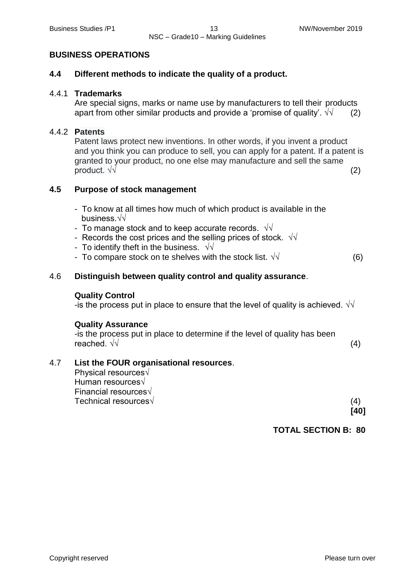#### **BUSINESS OPERATIONS**

#### **4.4 Different methods to indicate the quality of a product.**

#### 4.4.1 **Trademarks**

Are special signs, marks or name use by manufacturers to tell their products apart from other similar products and provide a 'promise of quality'.  $\sqrt{v}$  (2)

#### 4.4.2 **Patents**

Patent laws protect new inventions. In other words, if you invent a product and you think you can produce to sell, you can apply for a patent. If a patent is granted to your product, no one else may manufacture and sell the same product.  $\sqrt{v}$  (2)

#### **4.5 Purpose of stock management**

- To know at all times how much of which product is available in the business.√√
- To manage stock and to keep accurate records.  $\sqrt{\sqrt{2}}$
- Records the cost prices and the selling prices of stock.  $\sqrt{\sqrt{}}$
- To identify theft in the business.  $\sqrt{\sqrt{2}}$
- To compare stock on te shelves with the stock list.  $\sqrt{v}$  (6)

# 4.6 **Distinguish between quality control and quality assurance**.

#### **Quality Control**

-is the process put in place to ensure that the level of quality is achieved.  $\sqrt{d}$ 

#### **Quality Assurance**

-is the process put in place to determine if the level of quality has been reached.  $\sqrt{v}$  (4)

# 4.7 **List the FOUR organisational resources**.

Physical resources√ Human resources√ Financial resources√ Technical resources  $√$  (4)

**[40]**

**TOTAL SECTION B: 80**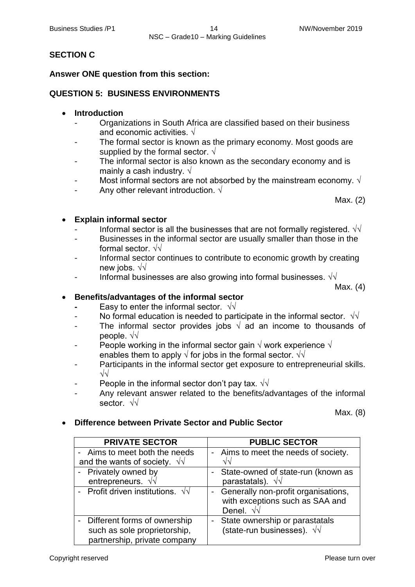# **SECTION C**

# **Answer ONE question from this section:**

# **QUESTION 5: BUSINESS ENVIRONMENTS**

#### **Introduction**

- Organizations in South Africa are classified based on their business and economic activities.  $\sqrt{ }$
- The formal sector is known as the primary economy. Most goods are supplied by the formal sector.  $\sqrt{ }$
- The informal sector is also known as the secondary economy and is mainly a cash industry.  $\sqrt{ }$
- Most informal sectors are not absorbed by the mainstream economy.  $\sqrt{ }$
- Any other relevant introduction.  $\sqrt{ }$

Max. (2)

# **Explain informal sector**

- Informal sector is all the businesses that are not formally registered.  $\sqrt{\sqrt{2}}$
- Businesses in the informal sector are usually smaller than those in the formal sector. √√
- Informal sector continues to contribute to economic growth by creating new jobs. √√
- Informal businesses are also growing into formal businesses.  $\sqrt{\sqrt{}}$

Max. (4)

# **Benefits/advantages of the informal sector**

- Easy to enter the informal sector.  $\sqrt{\sqrt{}}$
- No formal education is needed to participate in the informal sector.  $\sqrt{\sqrt{}}$
- The informal sector provides jobs  $\sqrt{a}$  ad an income to thousands of people. √√
- People working in the informal sector gain  $\sqrt{ }$  work experience  $\sqrt{ }$ enables them to apply  $\sqrt{ }$  for jobs in the formal sector.  $\sqrt{ }$
- Participants in the informal sector get exposure to entrepreneurial skills. √√
- People in the informal sector don't pay tax.  $\sqrt{\sqrt{}}$
- Any relevant answer related to the benefits/advantages of the informal sector. √√

Max. (8)

**Difference between Private Sector and Public Sector**

| <b>PRIVATE SECTOR</b>                    | <b>PUBLIC SECTOR</b>                                                                        |
|------------------------------------------|---------------------------------------------------------------------------------------------|
| - Aims to meet both the needs            | - Aims to meet the needs of society.                                                        |
| and the wants of society. $\sqrt{v}$     |                                                                                             |
| - Privately owned by                     | State-owned of state-run (known as                                                          |
| entrepreneurs. $\sqrt{v}$                | parastatals). $\sqrt{v}$                                                                    |
| - Profit driven institutions. $\sqrt{v}$ | Generally non-profit organisations,<br>with exceptions such as SAA and<br>Denel. $\sqrt{v}$ |
| Different forms of ownership             | State ownership or parastatals                                                              |
| such as sole proprietorship,             | (state-run businesses). $\sqrt{v}$                                                          |
| partnership, private company             |                                                                                             |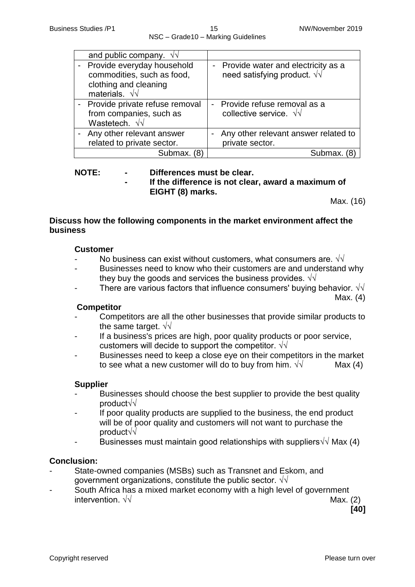| and public company. $\sqrt{v}$                                                                               |                                                                                    |
|--------------------------------------------------------------------------------------------------------------|------------------------------------------------------------------------------------|
| - Provide everyday household<br>commodities, such as food,<br>clothing and cleaning<br>materials. $\sqrt{v}$ | - Provide water and electricity as a<br>need satisfying product. $\sqrt{\sqrt{ }}$ |
| - Provide private refuse removal<br>from companies, such as<br>Wastetech. $\sqrt{v}$                         | - Provide refuse removal as a<br>collective service. $\sqrt{\sqrt{}}$              |
| - Any other relevant answer<br>related to private sector.                                                    | Any other relevant answer related to<br>private sector.                            |
| Submax.                                                                                                      | Submax                                                                             |

#### **NOTE: - Differences must be clear.**

**- If the difference is not clear, award a maximum of EIGHT (8) marks.**

Max. (16)

#### **Discuss how the following components in the market environment affect the business**

#### **Customer**

- No business can exist without customers, what consumers are.  $\sqrt{\sqrt{}}$
- Businesses need to know who their customers are and understand why they buy the goods and services the business provides.  $\sqrt{\sqrt{2}}$
- There are various factors that influence consumers' buying behavior.  $\sqrt{\sqrt{2}}$

Max. (4)

#### **Competitor**

- Competitors are all the other businesses that provide similar products to the same target.  $\sqrt{v}$
- If a business's prices are high, poor quality products or poor service, customers will decide to support the competitor.  $\sqrt{\sqrt{}}$
- Businesses need to keep a close eye on their competitors in the market to see what a new customer will do to buy from him.  $\sqrt{v}$  Max (4)

#### **Supplier**

- Businesses should choose the best supplier to provide the best quality product√√
- If poor quality products are supplied to the business, the end product will be of poor quality and customers will not want to purchase the product√√
- Businesses must maintain good relationships with suppliers $\sqrt{\sqrt{M}}$  Max (4)

#### **Conclusion:**

- State-owned companies (MSBs) such as Transnet and Eskom, and government organizations, constitute the public sector.  $\sqrt{\sqrt{}}$
- South Africa has a mixed market economy with a high level of government intervention.  $\sqrt{√}$  Max. (2)

**[40]**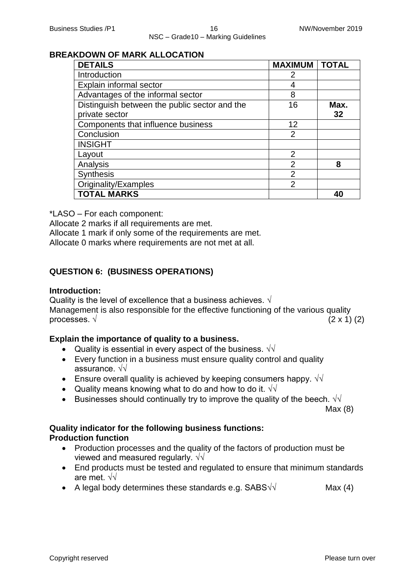#### **BREAKDOWN OF MARK ALLOCATION**

| <b>DETAILS</b>                                | <b>MAXIMUM</b> | <b>TOTAL</b> |
|-----------------------------------------------|----------------|--------------|
| Introduction                                  | 2              |              |
| Explain informal sector                       |                |              |
| Advantages of the informal sector             | 8              |              |
| Distinguish between the public sector and the | 16             | Max.         |
| private sector                                |                | 32           |
| Components that influence business            | 12             |              |
| Conclusion                                    | 2              |              |
| <b>INSIGHT</b>                                |                |              |
| Layout                                        | $\overline{2}$ |              |
| Analysis                                      | 2              | 8            |
| <b>Synthesis</b>                              | $\overline{2}$ |              |
| Originality/Examples                          | $\overline{2}$ |              |
| <b>TOTAL MARKS</b>                            |                | 40           |

\*LASO – For each component:

Allocate 2 marks if all requirements are met.

Allocate 1 mark if only some of the requirements are met.

Allocate 0 marks where requirements are not met at all.

# **QUESTION 6: (BUSINESS OPERATIONS)**

#### **Introduction:**

Quality is the level of excellence that a business achieves.  $\sqrt{ }$ Management is also responsible for the effective functioning of the various quality processes.  $\sqrt{2 \times 1}$  (2)

# **Explain the importance of quality to a business.**

- Quality is essential in every aspect of the business.  $\sqrt{v}$
- Every function in a business must ensure quality control and quality assurance. √√
- Ensure overall quality is achieved by keeping consumers happy.  $\sqrt{v}$
- Quality means knowing what to do and how to do it.  $\sqrt{v}$
- Businesses should continually try to improve the quality of the beech.  $\sqrt{v}$

Max (8)

# **Quality indicator for the following business functions: Production function**

- Production processes and the quality of the factors of production must be viewed and measured regularly.  $\sqrt{\sqrt{2}}$
- End products must be tested and regulated to ensure that minimum standards are met. √√
- A legal body determines these standards e.g.  $SABS\sqrt{1}$  Max (4)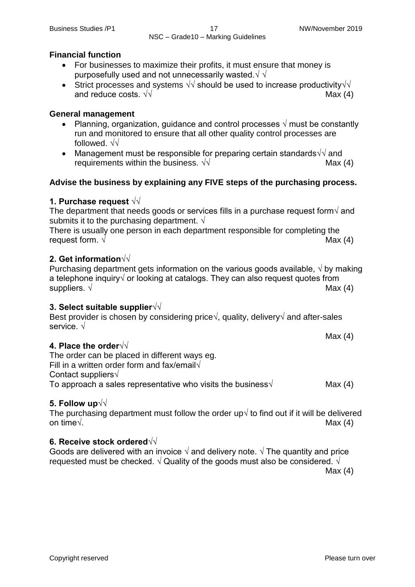# **Financial function**

- For businesses to maximize their profits, it must ensure that money is purposefully used and not unnecessarily wasted. $\sqrt{\sqrt{2}}$
- Strict processes and systems  $\sqrt{v}$  should be used to increase productivity  $\sqrt{v}$ and reduce costs.  $\sqrt{\sqrt{2}}$  Max (4)

# **General management**

- Planning, organization, guidance and control processes  $\sqrt{ }$  must be constantly run and monitored to ensure that all other quality control processes are followed. √√
- Management must be responsible for preparing certain standards $\sqrt{v}$  and requirements within the business.  $\sqrt{v}$  Max (4)

# **Advise the business by explaining any FIVE steps of the purchasing process.**

# **1. Purchase request √√**

The department that needs goods or services fills in a purchase request form $\sqrt{ }$  and submits it to the purchasing department.  $\sqrt{ }$ 

There is usually one person in each department responsible for completing the request form.  $\sqrt{ }$ 

# **2. Get information√√**

Purchasing department gets information on the various goods available,  $\sqrt{v}$  by making a telephone inquiry√ or looking at catalogs. They can also request quotes from suppliers.  $\sqrt{}$  Max (4)

# **3. Select suitable supplier√√**

Best provider is chosen by considering price√, quality, delivery√ and after-sales service. √

# **4. Place the order√√**

The order can be placed in different ways eg. Fill in a written order form and fax/email $\sqrt{ }$ Contact suppliers√ To approach a sales representative who visits the business $\sqrt{\frac{4}{2}}$ 

# **5. Follow up√√**

The purchasing department must follow the order up $\sqrt{ }$  to find out if it will be delivered on time√. Max  $(4)$ 

# **6. Receive stock ordered√√**

Goods are delivered with an invoice  $\sqrt{ }$  and delivery note.  $\sqrt{ }$  The quantity and price requested must be checked.  $\sqrt{ }$  Quality of the goods must also be considered.  $\sqrt{ }$ 

Max (4)

Max (4)